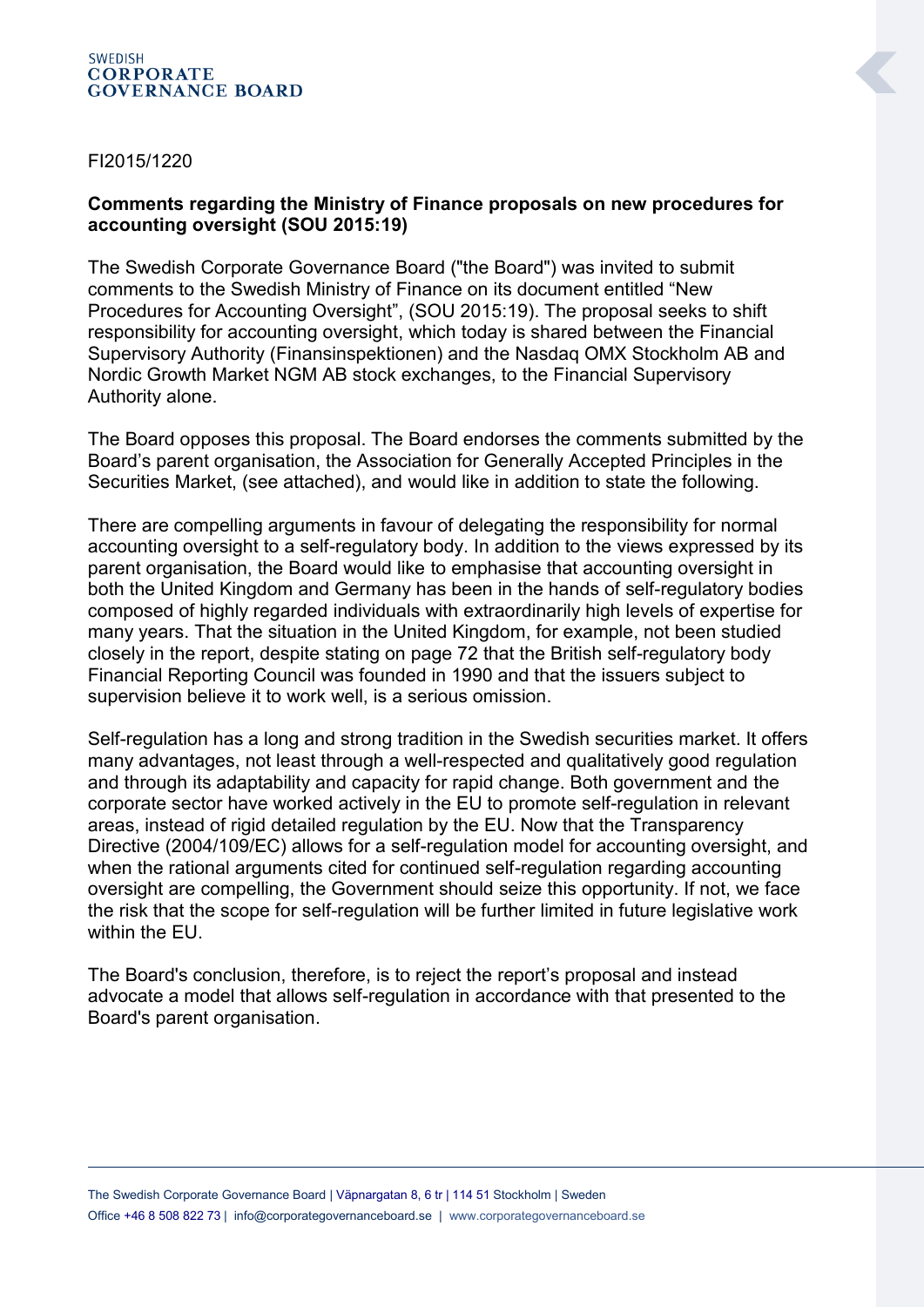## **SWEDISH CORPORATE GOVERNANCE BOARD**

## FI2015/1220

## **Comments regarding the Ministry of Finance proposals on new procedures for accounting oversight (SOU 2015:19)**

The Swedish Corporate Governance Board ("the Board") was invited to submit comments to the Swedish Ministry of Finance on its document entitled "New Procedures for Accounting Oversight", (SOU 2015:19). The proposal seeks to shift responsibility for accounting oversight, which today is shared between the Financial Supervisory Authority (Finansinspektionen) and the Nasdaq OMX Stockholm AB and Nordic Growth Market NGM AB stock exchanges, to the Financial Supervisory Authority alone.

The Board opposes this proposal. The Board endorses the comments submitted by the Board's parent organisation, the Association for Generally Accepted Principles in the Securities Market, (see attached), and would like in addition to state the following.

There are compelling arguments in favour of delegating the responsibility for normal accounting oversight to a self-regulatory body. In addition to the views expressed by its parent organisation, the Board would like to emphasise that accounting oversight in both the United Kingdom and Germany has been in the hands of self-regulatory bodies composed of highly regarded individuals with extraordinarily high levels of expertise for many years. That the situation in the United Kingdom, for example, not been studied closely in the report, despite stating on page 72 that the British self-regulatory body Financial Reporting Council was founded in 1990 and that the issuers subject to supervision believe it to work well, is a serious omission.

Self-regulation has a long and strong tradition in the Swedish securities market. It offers many advantages, not least through a well-respected and qualitatively good regulation and through its adaptability and capacity for rapid change. Both government and the corporate sector have worked actively in the EU to promote self-regulation in relevant areas, instead of rigid detailed regulation by the EU. Now that the Transparency Directive (2004/109/EC) allows for a self-regulation model for accounting oversight, and when the rational arguments cited for continued self-regulation regarding accounting oversight are compelling, the Government should seize this opportunity. If not, we face the risk that the scope for self-regulation will be further limited in future legislative work within the FU.

The Board's conclusion, therefore, is to reject the report's proposal and instead advocate a model that allows self-regulation in accordance with that presented to the Board's parent organisation.